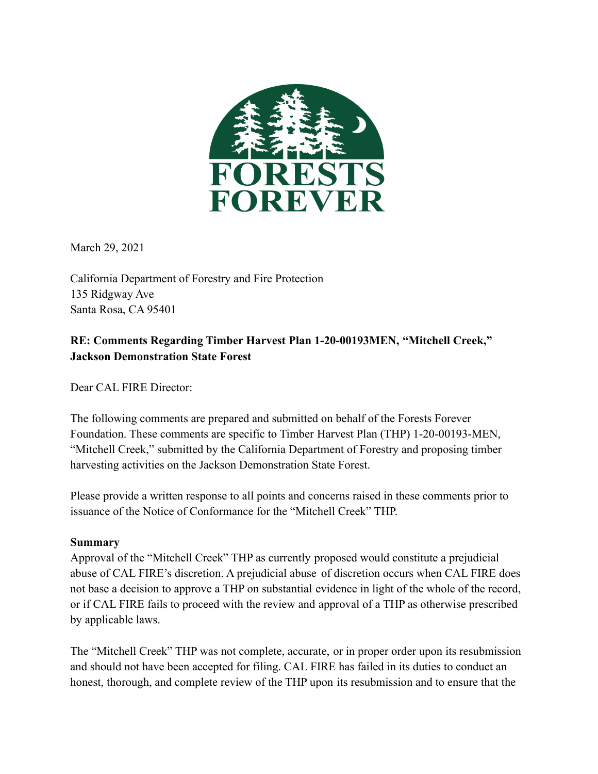

March 29, 2021

California Department of Forestry and Fire Protection 135 Ridgway Ave Santa Rosa, CA 95401

### **RE: Comments Regarding Timber Harvest Plan 1-20-00193MEN, "Mitchell Creek," Jackson Demonstration State Forest**

Dear CAL FIRE Director:

The following comments are prepared and submitted on behalf of the Forests Forever Foundation. These comments are specific to Timber Harvest Plan (THP) 1-20-00193-MEN, "Mitchell Creek," submitted by the California Department of Forestry and proposing timber harvesting activities on the Jackson Demonstration State Forest.

Please provide a written response to all points and concerns raised in these comments prior to issuance of the Notice of Conformance for the "Mitchell Creek" THP.

#### **Summary**

Approval of the "Mitchell Creek" THP as currently proposed would constitute a prejudicial abuse of CAL FIRE's discretion. A prejudicial abuse of discretion occurs when CAL FIRE does not base a decision to approve a THP on substantial evidence in light of the whole of the record, or if CAL FIRE fails to proceed with the review and approval of a THP as otherwise prescribed by applicable laws.

The "Mitchell Creek" THP was not complete, accurate, or in proper order upon its resubmission and should not have been accepted for filing. CAL FIRE has failed in its duties to conduct an honest, thorough, and complete review of the THP upon its resubmission and to ensure that the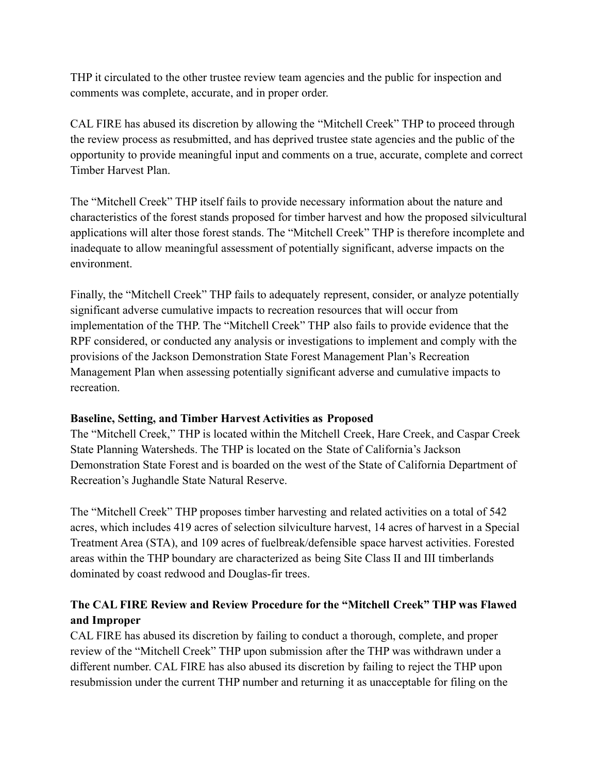THP it circulated to the other trustee review team agencies and the public for inspection and comments was complete, accurate, and in proper order.

CAL FIRE has abused its discretion by allowing the "Mitchell Creek" THP to proceed through the review process as resubmitted, and has deprived trustee state agencies and the public of the opportunity to provide meaningful input and comments on a true, accurate, complete and correct Timber Harvest Plan.

The "Mitchell Creek" THP itself fails to provide necessary information about the nature and characteristics of the forest stands proposed for timber harvest and how the proposed silvicultural applications will alter those forest stands. The "Mitchell Creek" THP is therefore incomplete and inadequate to allow meaningful assessment of potentially significant, adverse impacts on the environment.

Finally, the "Mitchell Creek" THP fails to adequately represent, consider, or analyze potentially significant adverse cumulative impacts to recreation resources that will occur from implementation of the THP. The "Mitchell Creek" THP also fails to provide evidence that the RPF considered, or conducted any analysis or investigations to implement and comply with the provisions of the Jackson Demonstration State Forest Management Plan's Recreation Management Plan when assessing potentially significant adverse and cumulative impacts to recreation.

### **Baseline, Setting, and Timber Harvest Activities as Proposed**

The "Mitchell Creek," THP is located within the Mitchell Creek, Hare Creek, and Caspar Creek State Planning Watersheds. The THP is located on the State of California's Jackson Demonstration State Forest and is boarded on the west of the State of California Department of Recreation's Jughandle State Natural Reserve.

The "Mitchell Creek" THP proposes timber harvesting and related activities on a total of 542 acres, which includes 419 acres of selection silviculture harvest, 14 acres of harvest in a Special Treatment Area (STA), and 109 acres of fuelbreak/defensible space harvest activities. Forested areas within the THP boundary are characterized as being Site Class II and III timberlands dominated by coast redwood and Douglas-fir trees.

# **The CAL FIRE Review and Review Procedure for the "Mitchell Creek" THP was Flawed and Improper**

CAL FIRE has abused its discretion by failing to conduct a thorough, complete, and proper review of the "Mitchell Creek" THP upon submission after the THP was withdrawn under a different number. CAL FIRE has also abused its discretion by failing to reject the THP upon resubmission under the current THP number and returning it as unacceptable for filing on the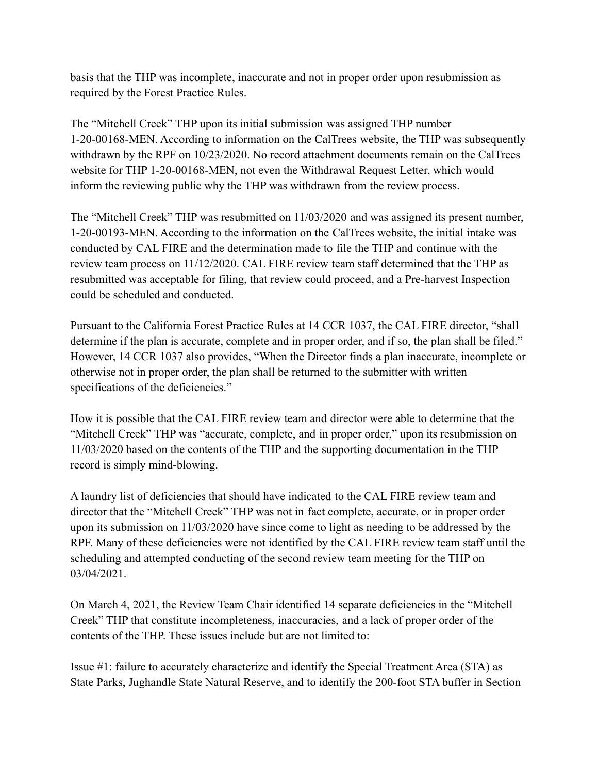basis that the THP was incomplete, inaccurate and not in proper order upon resubmission as required by the Forest Practice Rules.

The "Mitchell Creek" THP upon its initial submission was assigned THP number 1-20-00168-MEN. According to information on the CalTrees website, the THP was subsequently withdrawn by the RPF on 10/23/2020. No record attachment documents remain on the CalTrees website for THP 1-20-00168-MEN, not even the Withdrawal Request Letter, which would inform the reviewing public why the THP was withdrawn from the review process.

The "Mitchell Creek" THP was resubmitted on 11/03/2020 and was assigned its present number, 1-20-00193-MEN. According to the information on the CalTrees website, the initial intake was conducted by CAL FIRE and the determination made to file the THP and continue with the review team process on 11/12/2020. CAL FIRE review team staff determined that the THP as resubmitted was acceptable for filing, that review could proceed, and a Pre-harvest Inspection could be scheduled and conducted.

Pursuant to the California Forest Practice Rules at 14 CCR 1037, the CAL FIRE director, "shall determine if the plan is accurate, complete and in proper order, and if so, the plan shall be filed." However, 14 CCR 1037 also provides, "When the Director finds a plan inaccurate, incomplete or otherwise not in proper order, the plan shall be returned to the submitter with written specifications of the deficiencies."

How it is possible that the CAL FIRE review team and director were able to determine that the "Mitchell Creek" THP was "accurate, complete, and in proper order," upon its resubmission on 11/03/2020 based on the contents of the THP and the supporting documentation in the THP record is simply mind-blowing.

A laundry list of deficiencies that should have indicated to the CAL FIRE review team and director that the "Mitchell Creek" THP was not in fact complete, accurate, or in proper order upon its submission on 11/03/2020 have since come to light as needing to be addressed by the RPF. Many of these deficiencies were not identified by the CAL FIRE review team staff until the scheduling and attempted conducting of the second review team meeting for the THP on 03/04/2021.

On March 4, 2021, the Review Team Chair identified 14 separate deficiencies in the "Mitchell Creek" THP that constitute incompleteness, inaccuracies, and a lack of proper order of the contents of the THP. These issues include but are not limited to:

Issue #1: failure to accurately characterize and identify the Special Treatment Area (STA) as State Parks, Jughandle State Natural Reserve, and to identify the 200-foot STA buffer in Section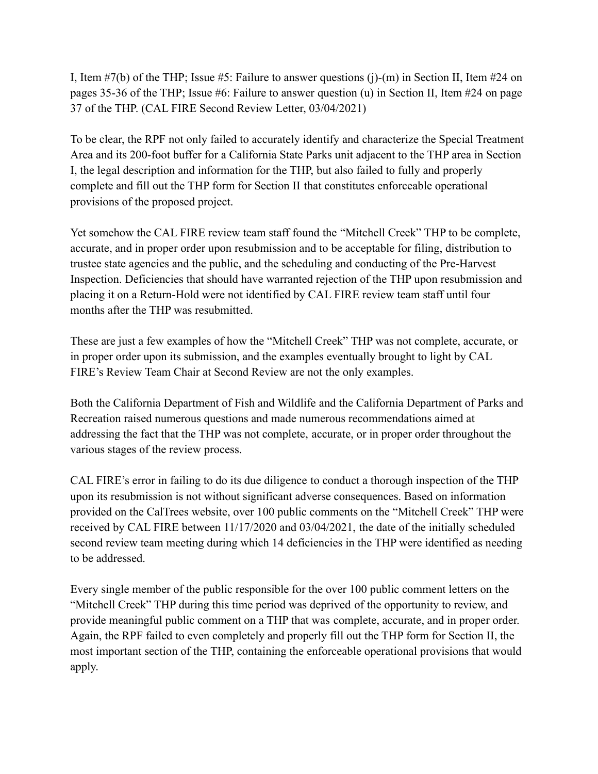I, Item #7(b) of the THP; Issue #5: Failure to answer questions (j)-(m) in Section II, Item #24 on pages 35-36 of the THP; Issue #6: Failure to answer question (u) in Section II, Item #24 on page 37 of the THP. (CAL FIRE Second Review Letter, 03/04/2021)

To be clear, the RPF not only failed to accurately identify and characterize the Special Treatment Area and its 200-foot buffer for a California State Parks unit adjacent to the THP area in Section I, the legal description and information for the THP, but also failed to fully and properly complete and fill out the THP form for Section II that constitutes enforceable operational provisions of the proposed project.

Yet somehow the CAL FIRE review team staff found the "Mitchell Creek" THP to be complete, accurate, and in proper order upon resubmission and to be acceptable for filing, distribution to trustee state agencies and the public, and the scheduling and conducting of the Pre-Harvest Inspection. Deficiencies that should have warranted rejection of the THP upon resubmission and placing it on a Return-Hold were not identified by CAL FIRE review team staff until four months after the THP was resubmitted.

These are just a few examples of how the "Mitchell Creek" THP was not complete, accurate, or in proper order upon its submission, and the examples eventually brought to light by CAL FIRE's Review Team Chair at Second Review are not the only examples.

Both the California Department of Fish and Wildlife and the California Department of Parks and Recreation raised numerous questions and made numerous recommendations aimed at addressing the fact that the THP was not complete, accurate, or in proper order throughout the various stages of the review process.

CAL FIRE's error in failing to do its due diligence to conduct a thorough inspection of the THP upon its resubmission is not without significant adverse consequences. Based on information provided on the CalTrees website, over 100 public comments on the "Mitchell Creek" THP were received by CAL FIRE between 11/17/2020 and 03/04/2021, the date of the initially scheduled second review team meeting during which 14 deficiencies in the THP were identified as needing to be addressed.

Every single member of the public responsible for the over 100 public comment letters on the "Mitchell Creek" THP during this time period was deprived of the opportunity to review, and provide meaningful public comment on a THP that was complete, accurate, and in proper order. Again, the RPF failed to even completely and properly fill out the THP form for Section II, the most important section of the THP, containing the enforceable operational provisions that would apply.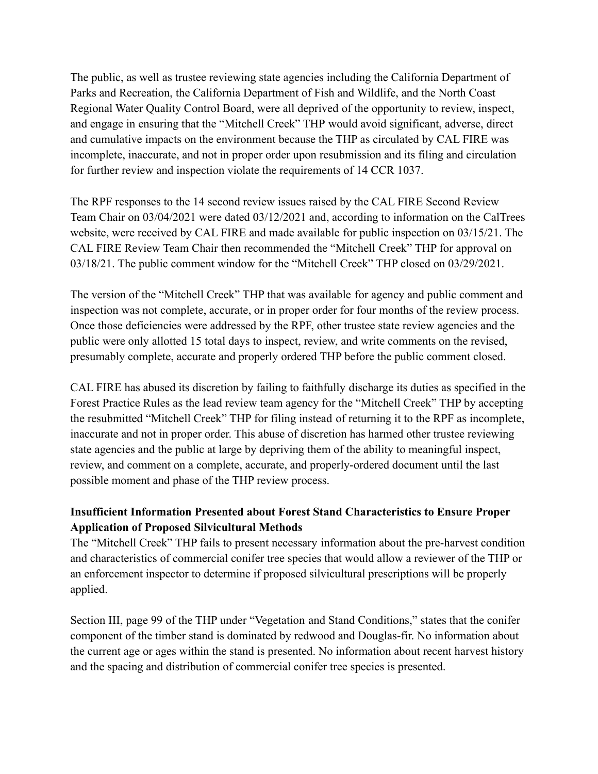The public, as well as trustee reviewing state agencies including the California Department of Parks and Recreation, the California Department of Fish and Wildlife, and the North Coast Regional Water Quality Control Board, were all deprived of the opportunity to review, inspect, and engage in ensuring that the "Mitchell Creek" THP would avoid significant, adverse, direct and cumulative impacts on the environment because the THP as circulated by CAL FIRE was incomplete, inaccurate, and not in proper order upon resubmission and its filing and circulation for further review and inspection violate the requirements of 14 CCR 1037.

The RPF responses to the 14 second review issues raised by the CAL FIRE Second Review Team Chair on 03/04/2021 were dated 03/12/2021 and, according to information on the CalTrees website, were received by CAL FIRE and made available for public inspection on 03/15/21. The CAL FIRE Review Team Chair then recommended the "Mitchell Creek" THP for approval on 03/18/21. The public comment window for the "Mitchell Creek" THP closed on 03/29/2021.

The version of the "Mitchell Creek" THP that was available for agency and public comment and inspection was not complete, accurate, or in proper order for four months of the review process. Once those deficiencies were addressed by the RPF, other trustee state review agencies and the public were only allotted 15 total days to inspect, review, and write comments on the revised, presumably complete, accurate and properly ordered THP before the public comment closed.

CAL FIRE has abused its discretion by failing to faithfully discharge its duties as specified in the Forest Practice Rules as the lead review team agency for the "Mitchell Creek" THP by accepting the resubmitted "Mitchell Creek" THP for filing instead of returning it to the RPF as incomplete, inaccurate and not in proper order. This abuse of discretion has harmed other trustee reviewing state agencies and the public at large by depriving them of the ability to meaningful inspect, review, and comment on a complete, accurate, and properly-ordered document until the last possible moment and phase of the THP review process.

# **Insufficient Information Presented about Forest Stand Characteristics to Ensure Proper Application of Proposed Silvicultural Methods**

The "Mitchell Creek" THP fails to present necessary information about the pre-harvest condition and characteristics of commercial conifer tree species that would allow a reviewer of the THP or an enforcement inspector to determine if proposed silvicultural prescriptions will be properly applied.

Section III, page 99 of the THP under "Vegetation and Stand Conditions," states that the conifer component of the timber stand is dominated by redwood and Douglas-fir. No information about the current age or ages within the stand is presented. No information about recent harvest history and the spacing and distribution of commercial conifer tree species is presented.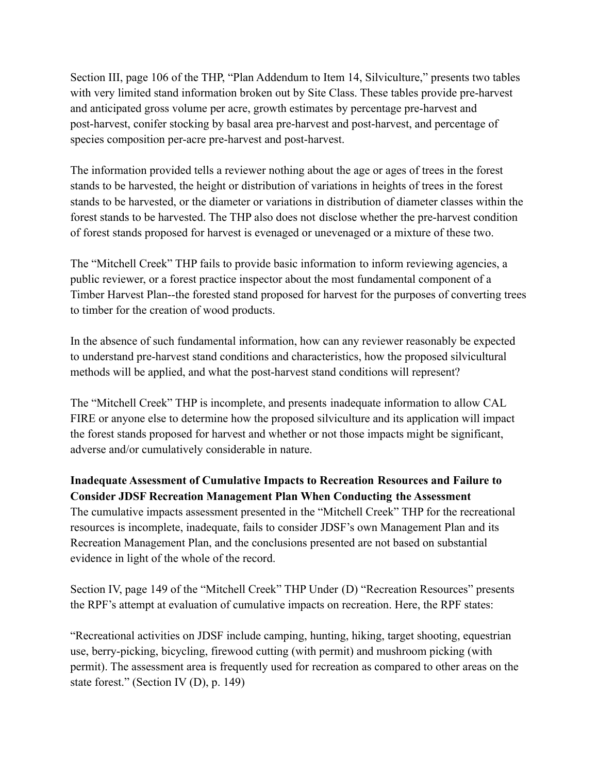Section III, page 106 of the THP, "Plan Addendum to Item 14, Silviculture," presents two tables with very limited stand information broken out by Site Class. These tables provide pre-harvest and anticipated gross volume per acre, growth estimates by percentage pre-harvest and post-harvest, conifer stocking by basal area pre-harvest and post-harvest, and percentage of species composition per-acre pre-harvest and post-harvest.

The information provided tells a reviewer nothing about the age or ages of trees in the forest stands to be harvested, the height or distribution of variations in heights of trees in the forest stands to be harvested, or the diameter or variations in distribution of diameter classes within the forest stands to be harvested. The THP also does not disclose whether the pre-harvest condition of forest stands proposed for harvest is evenaged or unevenaged or a mixture of these two.

The "Mitchell Creek" THP fails to provide basic information to inform reviewing agencies, a public reviewer, or a forest practice inspector about the most fundamental component of a Timber Harvest Plan--the forested stand proposed for harvest for the purposes of converting trees to timber for the creation of wood products.

In the absence of such fundamental information, how can any reviewer reasonably be expected to understand pre-harvest stand conditions and characteristics, how the proposed silvicultural methods will be applied, and what the post-harvest stand conditions will represent?

The "Mitchell Creek" THP is incomplete, and presents inadequate information to allow CAL FIRE or anyone else to determine how the proposed silviculture and its application will impact the forest stands proposed for harvest and whether or not those impacts might be significant, adverse and/or cumulatively considerable in nature.

# **Inadequate Assessment of Cumulative Impacts to Recreation Resources and Failure to Consider JDSF Recreation Management Plan When Conducting the Assessment** The cumulative impacts assessment presented in the "Mitchell Creek" THP for the recreational

resources is incomplete, inadequate, fails to consider JDSF's own Management Plan and its Recreation Management Plan, and the conclusions presented are not based on substantial evidence in light of the whole of the record.

Section IV, page 149 of the "Mitchell Creek" THP Under (D) "Recreation Resources" presents the RPF's attempt at evaluation of cumulative impacts on recreation. Here, the RPF states:

"Recreational activities on JDSF include camping, hunting, hiking, target shooting, equestrian use, berry-picking, bicycling, firewood cutting (with permit) and mushroom picking (with permit). The assessment area is frequently used for recreation as compared to other areas on the state forest." (Section IV (D), p. 149)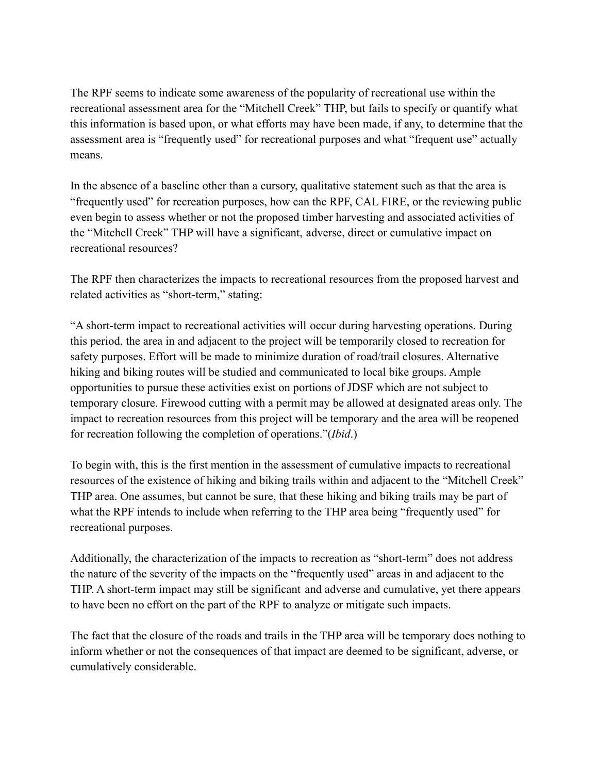The RPF seems to indicate some awareness of the popularity of recreational use within the recreational assessment area for the "Mitchell Creek" THP, but fails to specify or quantify what this information is based upon, or what efforts may have been made, if any, to determine that the assessment area is "frequently used" for recreational purposes and what "frequent use" actually means.

In the absence of a baseline other than a cursory, qualitative statement such as that the area is "frequently used" for recreation purposes, how can the RPF, CAL FIRE, or the reviewing public even begin to assess whether or not the proposed timber harvesting and associated activities of the "Mitchell Creek" THP will have a significant, adverse, direct or cumulative impact on recreational resources?

The RPF then characterizes the impacts to recreational resources from the proposed harvest and related activities as "short-term," stating:

"A short-term impact to recreational activities will occur during harvesting operations. During this period, the area in and adjacent to the project will be temporarily closed to recreation for safety purposes. Effort will be made to minimize duration of road/trail closures. Alternative hiking and biking routes will be studied and communicated to local bike groups. Ample opportunities to pursue these activities exist on portions of JDSF which are not subject to temporary closure. Firewood cutting with a permit may be allowed at designated areas only. The impact to recreation resources from this project will be temporary and the area will be reopened for recreation following the completion of operations."(*Ibid*.)

To begin with, this is the first mention in the assessment of cumulative impacts to recreational resources of the existence of hiking and biking trails within and adjacent to the "Mitchell Creek" THP area. One assumes, but cannot be sure, that these hiking and biking trails may be part of what the RPF intends to include when referring to the THP area being "frequently used" for recreational purposes.

Additionally, the characterization of the impacts to recreation as "short-term" does not address the nature of the severity of the impacts on the "frequently used" areas in and adjacent to the THP. A short-term impact may still be significant and adverse and cumulative, yet there appears to have been no effort on the part of the RPF to analyze or mitigate such impacts.

The fact that the closure of the roads and trails in the THP area will be temporary does nothing to inform whether or not the consequences of that impact are deemed to be significant, adverse, or cumulatively considerable.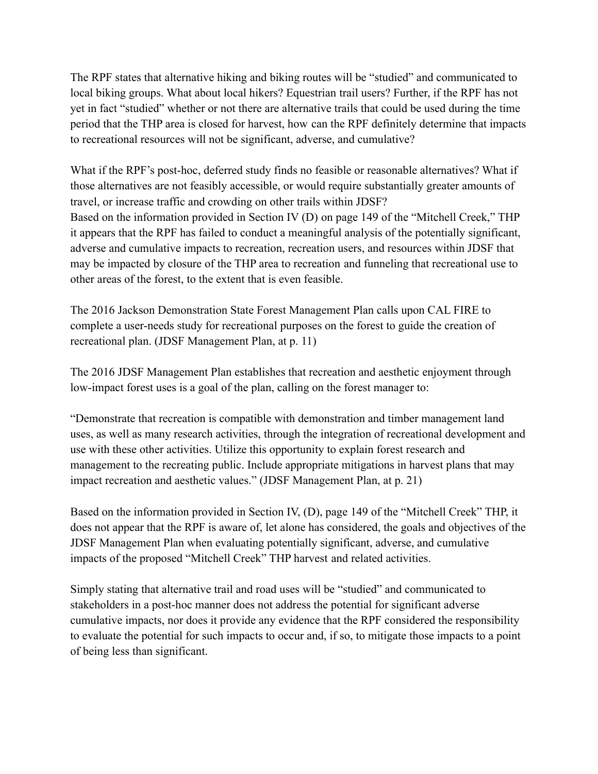The RPF states that alternative hiking and biking routes will be "studied" and communicated to local biking groups. What about local hikers? Equestrian trail users? Further, if the RPF has not yet in fact "studied" whether or not there are alternative trails that could be used during the time period that the THP area is closed for harvest, how can the RPF definitely determine that impacts to recreational resources will not be significant, adverse, and cumulative?

What if the RPF's post-hoc, deferred study finds no feasible or reasonable alternatives? What if those alternatives are not feasibly accessible, or would require substantially greater amounts of travel, or increase traffic and crowding on other trails within JDSF? Based on the information provided in Section IV (D) on page 149 of the "Mitchell Creek," THP it appears that the RPF has failed to conduct a meaningful analysis of the potentially significant, adverse and cumulative impacts to recreation, recreation users, and resources within JDSF that may be impacted by closure of the THP area to recreation and funneling that recreational use to other areas of the forest, to the extent that is even feasible.

The 2016 Jackson Demonstration State Forest Management Plan calls upon CAL FIRE to complete a user-needs study for recreational purposes on the forest to guide the creation of recreational plan. (JDSF Management Plan, at p. 11)

The 2016 JDSF Management Plan establishes that recreation and aesthetic enjoyment through low-impact forest uses is a goal of the plan, calling on the forest manager to:

"Demonstrate that recreation is compatible with demonstration and timber management land uses, as well as many research activities, through the integration of recreational development and use with these other activities. Utilize this opportunity to explain forest research and management to the recreating public. Include appropriate mitigations in harvest plans that may impact recreation and aesthetic values." (JDSF Management Plan, at p. 21)

Based on the information provided in Section IV, (D), page 149 of the "Mitchell Creek" THP, it does not appear that the RPF is aware of, let alone has considered, the goals and objectives of the JDSF Management Plan when evaluating potentially significant, adverse, and cumulative impacts of the proposed "Mitchell Creek" THP harvest and related activities.

Simply stating that alternative trail and road uses will be "studied" and communicated to stakeholders in a post-hoc manner does not address the potential for significant adverse cumulative impacts, nor does it provide any evidence that the RPF considered the responsibility to evaluate the potential for such impacts to occur and, if so, to mitigate those impacts to a point of being less than significant.